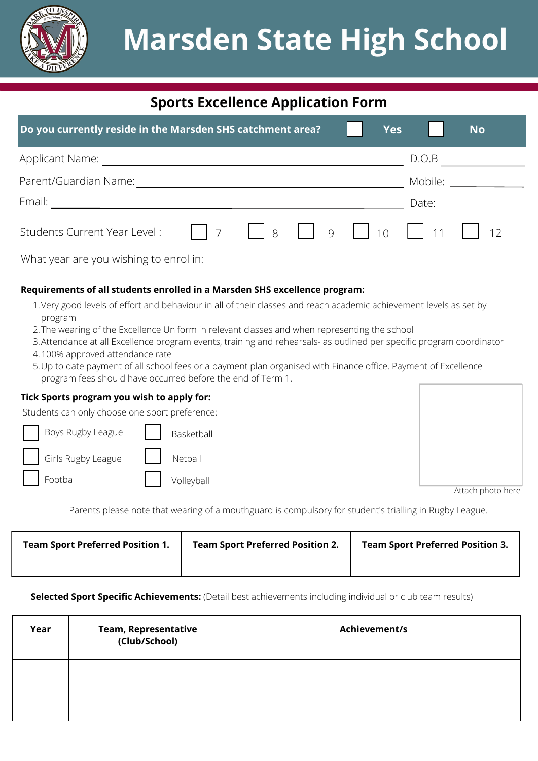

# **Sports Excellence Application Form**

| Do you currently reside in the Marsden SHS catchment area? |  | <b>Yes</b> |         | <b>No</b> |  |
|------------------------------------------------------------|--|------------|---------|-----------|--|
| Applicant Name:                                            |  |            | D.O.B   |           |  |
| Parent/Guardian Name:                                      |  |            | Mobile: |           |  |
| Email:                                                     |  |            | Date:   |           |  |
|                                                            |  |            |         |           |  |
| What year are you wishing to enrol in:                     |  |            |         |           |  |

# **Requirements of all students enrolled in a Marsden SHS excellence program:**

- 1.Very good levels of effort and behaviour in all of their classes and reach academic achievement levels as set by program
- The wearing of the Excellence Uniform in relevant classes and when representing the school 2.
- Attendance at all Excellence program events, training and rehearsals- as outlined per specific program coordinator 3.
- 100% approved attendance rate 4.
- Up to date payment of all school fees or a payment plan organised with Finance office. Payment of Excellence 5. program fees should have occurred before the end of Term 1.

## **Tick Sports program you wish to apply for:**

Students can only choose one sport preference:

| Boys Rugby League        | Basketball                                              |
|--------------------------|---------------------------------------------------------|
| Girls Rugby League       | $\begin{array}{ c c c c c } \hline \end{array}$ Netball |
| $\vert$ $\vert$ Football | Volleyball                                              |

| Attach nhoto here |
|-------------------|

Attach photo here

Parents please note that wearing of a mouthguard is compulsory for student's trialling in Rugby League.

| <b>Team Sport Preferred Position 1.</b> | <b>Team Sport Preferred Position 2.</b> | <b>Team Sport Preferred Position 3.</b> |
|-----------------------------------------|-----------------------------------------|-----------------------------------------|
|                                         |                                         |                                         |

**Selected Sport Specific Achievements:** (Detail best achievements including individual or club team results)

| Year | <b>Team, Representative</b><br>(Club/School) | Achievement/s |
|------|----------------------------------------------|---------------|
|      |                                              |               |